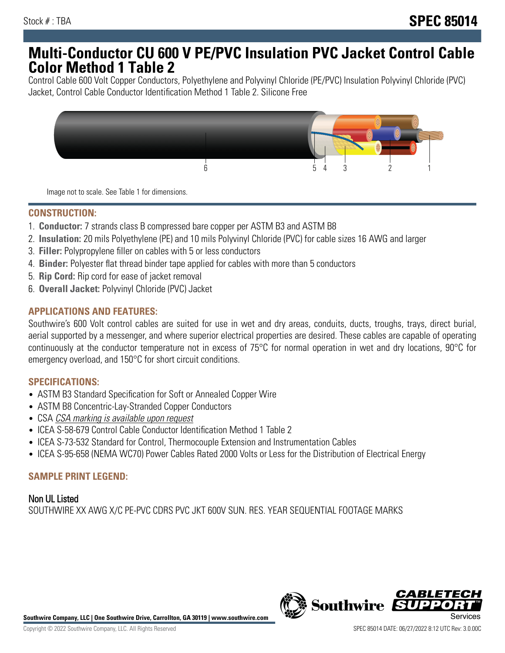# **Multi-Conductor CU 600 V PE/PVC Insulation PVC Jacket Control Cable Color Method 1 Table 2**

Control Cable 600 Volt Copper Conductors, Polyethylene and Polyvinyl Chloride (PE/PVC) Insulation Polyvinyl Chloride (PVC) Jacket, Control Cable Conductor Identification Method 1 Table 2. Silicone Free



Image not to scale. See Table 1 for dimensions.

#### **CONSTRUCTION:**

- 1. **Conductor:** 7 strands class B compressed bare copper per ASTM B3 and ASTM B8
- 2. **Insulation:** 20 mils Polyethylene (PE) and 10 mils Polyvinyl Chloride (PVC) for cable sizes 16 AWG and larger
- 3. **Filler:** Polypropylene filler on cables with 5 or less conductors
- 4. **Binder:** Polyester flat thread binder tape applied for cables with more than 5 conductors
- 5. **Rip Cord:** Rip cord for ease of jacket removal
- 6. **Overall Jacket:** Polyvinyl Chloride (PVC) Jacket

## **APPLICATIONS AND FEATURES:**

Southwire's 600 Volt control cables are suited for use in wet and dry areas, conduits, ducts, troughs, trays, direct burial, aerial supported by a messenger, and where superior electrical properties are desired. These cables are capable of operating continuously at the conductor temperature not in excess of 75°C for normal operation in wet and dry locations, 90°C for emergency overload, and 150°C for short circuit conditions.

#### **SPECIFICATIONS:**

- ASTM B3 Standard Specification for Soft or Annealed Copper Wire
- ASTM B8 Concentric-Lay-Stranded Copper Conductors
- CSA CSA marking is available upon request
- ICEA S-58-679 Control Cable Conductor Identification Method 1 Table 2
- ICEA S-73-532 Standard for Control, Thermocouple Extension and Instrumentation Cables
- ICEA S-95-658 (NEMA WC70) Power Cables Rated 2000 Volts or Less for the Distribution of Electrical Energy

#### **SAMPLE PRINT LEGEND:**

Non UL Listed SOUTHWIRE XX AWG X/C PE-PVC CDRS PVC JKT 600V SUN. RES. YEAR SEQUENTIAL FOOTAGE MARKS



**Southwire Company, LLC | One Southwire Drive, Carrollton, GA 30119 | www.southwire.com**